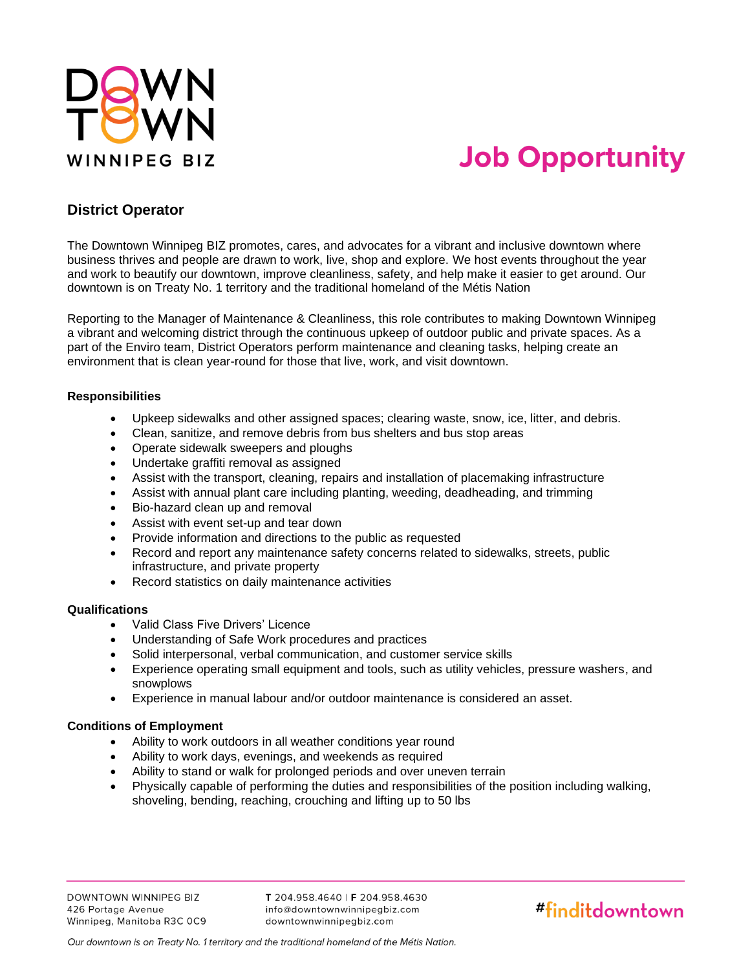

# **Job Opportunity**

### **District Operator**

The Downtown Winnipeg BIZ promotes, cares, and advocates for a vibrant and inclusive downtown where business thrives and people are drawn to work, live, shop and explore. We host events throughout the year and work to beautify our downtown, improve cleanliness, safety, and help make it easier to get around. Our downtown is on Treaty No. 1 territory and the traditional homeland of the Métis Nation

Reporting to the Manager of Maintenance & Cleanliness, this role contributes to making Downtown Winnipeg a vibrant and welcoming district through the continuous upkeep of outdoor public and private spaces. As a part of the Enviro team, District Operators perform maintenance and cleaning tasks, helping create an environment that is clean year-round for those that live, work, and visit downtown.

#### **Responsibilities**

- Upkeep sidewalks and other assigned spaces; clearing waste, snow, ice, litter, and debris.
- Clean, sanitize, and remove debris from bus shelters and bus stop areas
- Operate sidewalk sweepers and ploughs
- Undertake graffiti removal as assigned
- Assist with the transport, cleaning, repairs and installation of placemaking infrastructure
- Assist with annual plant care including planting, weeding, deadheading, and trimming
- Bio-hazard clean up and removal
- Assist with event set-up and tear down
- Provide information and directions to the public as requested
- Record and report any maintenance safety concerns related to sidewalks, streets, public infrastructure, and private property
- Record statistics on daily maintenance activities

#### **Qualifications**

- Valid Class Five Drivers' Licence
- Understanding of Safe Work procedures and practices
- Solid interpersonal, verbal communication, and customer service skills
- Experience operating small equipment and tools, such as utility vehicles, pressure washers, and snowplows
- Experience in manual labour and/or outdoor maintenance is considered an asset.

#### **Conditions of Employment**

- Ability to work outdoors in all weather conditions year round
- Ability to work days, evenings, and weekends as required
- Ability to stand or walk for prolonged periods and over uneven terrain
- Physically capable of performing the duties and responsibilities of the position including walking, shoveling, bending, reaching, crouching and lifting up to 50 lbs

T 204.958.4640 | F 204.958.4630 info@downtownwinnipegbiz.com downtownwinnipegbiz.com